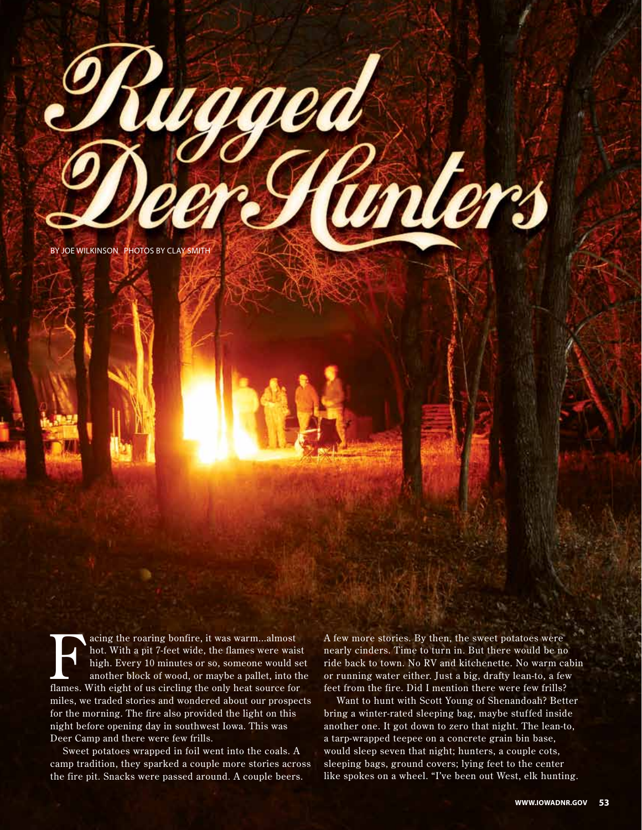by joe wilkinson photos by clay smith

vaaed

acing the roaring bonfire, it was warm...almost<br>hot. With a pit 7-feet wide, the flames were wais<br>high. Every 10 minutes or so, someone would s<br>another block of wood, or maybe a pallet, into t<br>flames. With eight of us circ hot. With a pit 7-feet wide, the flames were waist high. Every 10 minutes or so, someone would set another block of wood, or maybe a pallet, into the flames. With eight of us circling the only heat source for miles, we traded stories and wondered about our prospects for the morning. The fire also provided the light on this night before opening day in southwest Iowa. This was Deer Camp and there were few frills.

Sweet potatoes wrapped in foil went into the coals. A camp tradition, they sparked a couple more stories across the fire pit. Snacks were passed around. A couple beers.

A few more stories. By then, the sweet potatoes were nearly cinders. Time to turn in. But there would be no ride back to town. No RV and kitchenette. No warm cabin or running water either. Just a big, drafty lean-to, a few feet from the fire. Did I mention there were few frills?

unters

Want to hunt with Scott Young of Shenandoah? Better bring a winter-rated sleeping bag, maybe stuffed inside another one. It got down to zero that night. The lean-to, a tarp-wrapped teepee on a concrete grain bin base, would sleep seven that night; hunters, a couple cots, sleeping bags, ground covers; lying feet to the center like spokes on a wheel. "I've been out West, elk hunting.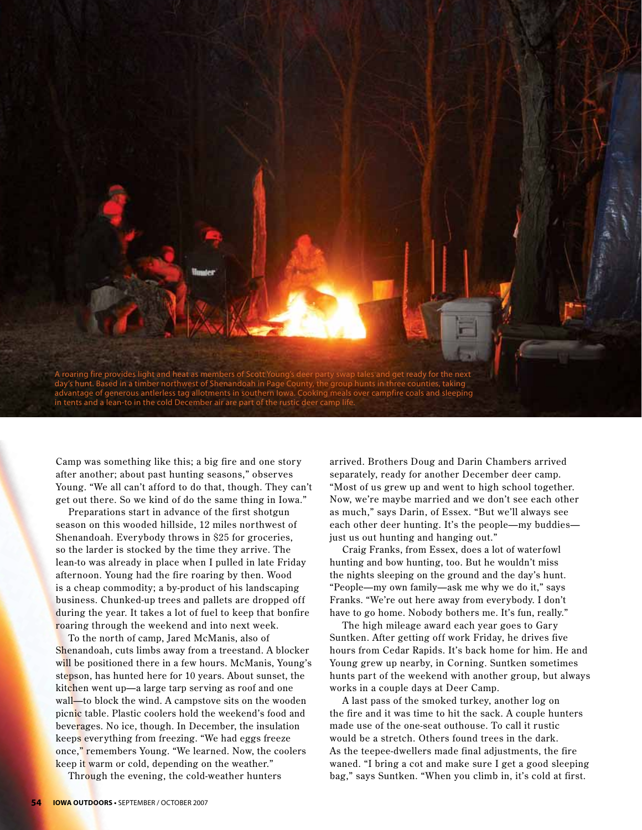

Camp was something like this; a big fire and one stor y after another; about past hunting seasons," obser ves Young. "We all can't afford to do that, though. They can't get out there. So we kind of do the same thing in Iowa."

Preparations start in advance of the first shotgun season on this wooded hillside, 12 miles northwest of Shenandoah. Ever ybody throws in \$25 for groceries, so the larder is stocked by the time they arrive. The lean-to was already in place when I pulled in late Friday afternoon. Young had the fire roaring by then. Wood is a cheap commodity; a by-product of his landscaping business. Chunked-up trees and pallets are dropped off during the year. It takes a lot of fuel to keep that bonfire roaring through the weekend and into next week.

To the north of camp, Jared McManis, also of Shenandoah, cuts limbs away from a treestand. A blocker will be positioned there in a few hours. McManis, Young's stepson, has hunted here for 10 years. About sunset, the kitchen went up—a large tarp serving as roof and one wall—to block the wind. A campstove sits on the wooden picnic table. Plastic coolers hold the weekend's food and beverages. No ice, though. In December, the insulation keeps everything from freezing. "We had eggs freeze once," remembers Young. "We learned. Now, the coolers keep it warm or cold, depending on the weather."

Through the evening, the cold-weather hunters

arrived. Brothers Doug and Darin Chambers arrived separately, ready for another December deer camp. "Most of us grew up and went to high school together. Now, we're maybe married and we don't see each other as much," says Darin, of Essex. "But we'll always see each other deer hunting. It's the people—my buddies just us out hunting and hanging out."

Craig Franks, from Essex, does a lot of waterfowl hunting and bow hunting, too. But he wouldn't miss the nights sleeping on the ground and the day's hunt. "People—my own family—ask me why we do it," says Franks. "We're out here away from everybody. I don't have to go home. Nobody bothers me. It's fun, really."

The high mileage award each year goes to Gary Suntken. After getting off work Friday, he drives five hours from Cedar Rapids. It's back home for him. He and Young grew up nearby, in Corning. Suntken sometimes hunts part of the weekend with another group, but always works in a couple days at Deer Camp.

A last pass of the smoked turkey, another log on the fire and it was time to hit the sack. A couple hunters made use of the one-seat outhouse. To call it rustic would be a stretch. Others found trees in the dark. As the teepee-dwellers made final adjustments, the fire waned. "I bring a cot and make sure I get a good sleeping bag," says Suntken. "When you climb in, it's cold at first.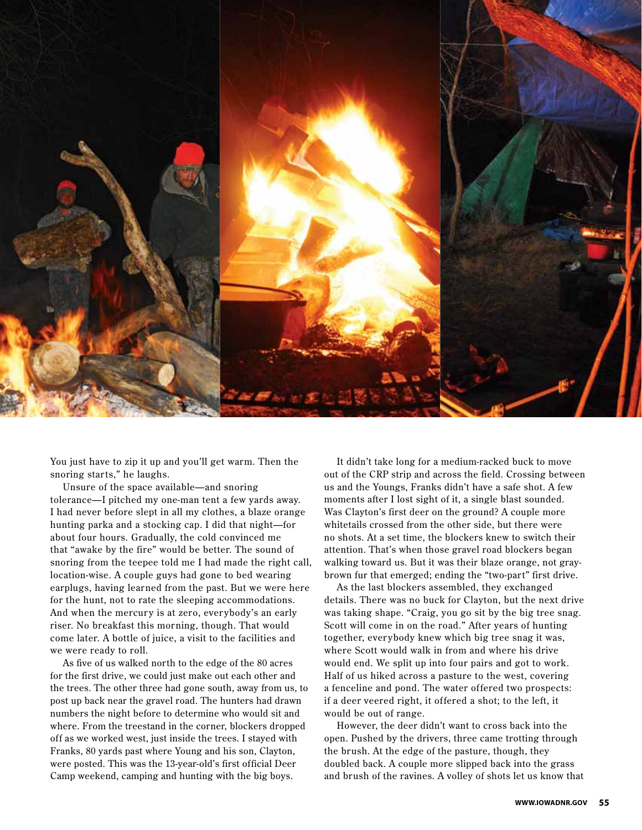

You just have to zip it up and you'll get warm. Then the snoring starts," he laughs.

Unsure of the space available—and snoring tolerance—I pitched my one-man tent a few yards away. I had never before slept in all my clothes, a blaze orange hunting parka and a stocking cap. I did that night—for about four hours. Gradually, the cold convinced me that "awake by the fire" would be better. The sound of snoring from the teepee told me I had made the right call, location-wise. A couple guys had gone to bed wearing earplugs, having learned from the past. But we were here for the hunt, not to rate the sleeping accommodations. And when the mercury is at zero, everybody's an early riser. No breakfast this morning, though. That would come later. A bottle of juice, a visit to the facilities and we were ready to roll.

As five of us walked north to the edge of the 80 acres for the first drive, we could just make out each other and the trees. The other three had gone south, away from us, to post up back near the gravel road. The hunters had drawn numbers the night before to determine who would sit and where. From the treestand in the corner, blockers dropped off as we worked west, just inside the trees. I stayed with Franks, 80 yards past where Young and his son, Clayton, were posted. This was the 13-year-old's first official Deer Camp weekend, camping and hunting with the big boys.

It didn't take long for a medium-racked buck to move out of the CRP strip and across the field. Crossing between us and the Youngs, Franks didn't have a safe shot. A few moments after I lost sight of it, a single blast sounded. Was Clayton's first deer on the ground? A couple more whitetails crossed from the other side, but there were no shots. At a set time, the blockers knew to switch their attention. That's when those gravel road blockers began walking toward us. But it was their blaze orange, not graybrown fur that emerged; ending the "two-part" first drive.

As the last blockers assembled, they exchanged details. There was no buck for Clayton, but the next drive was taking shape. "Craig, you go sit by the big tree snag. Scott will come in on the road." After years of hunting together, ever ybody knew which big tree snag it was, where Scott would walk in from and where his drive would end. We split up into four pairs and got to work. Half of us hiked across a pasture to the west, covering a fenceline and pond. The water offered two prospects: if a deer veered right, it offered a shot; to the left, it would be out of range.

However, the deer didn't want to cross back into the open. Pushed by the drivers, three came trotting through the brush. At the edge of the pasture, though, they doubled back. A couple more slipped back into the grass and brush of the ravines. A volley of shots let us know that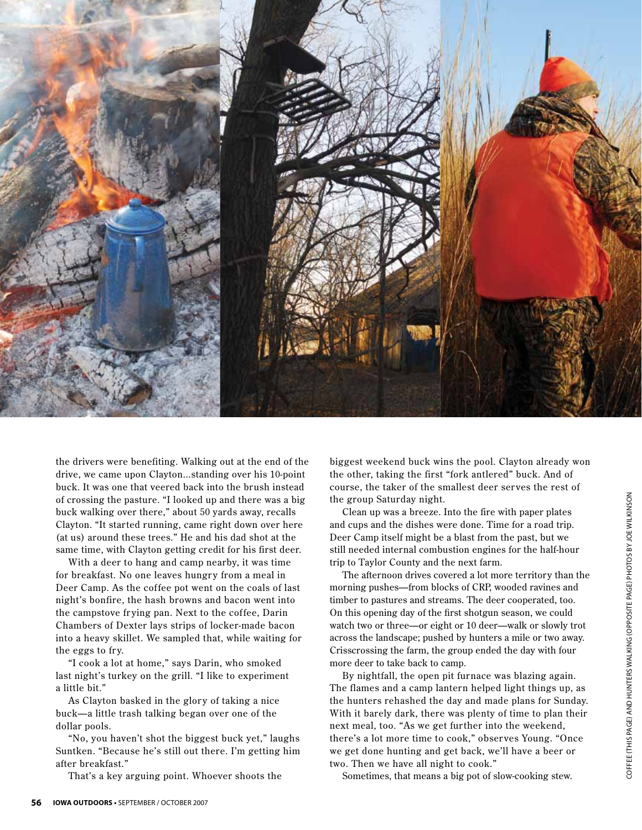

the drivers were benefiting. Walking out at the end of the drive, we came upon Clayton...standing over his 10-point buck. It was one that veered back into the brush instead of crossing the pasture. "I looked up and there was a big buck walking over there," about 50 yards away, recalls Clayton. "It started running, came right down over here (at us) around these trees." He and his dad shot at the same time, with Clayton getting credit for his first deer.

With a deer to hang and camp nearby, it was time for breakfast. No one leaves hungry from a meal in Deer Camp. As the coffee pot went on the coals of last night's bonfire, the hash browns and bacon went into the campstove frying pan. Next to the coffee, Darin Chambers of Dexter lays strips of locker-made bacon into a heavy skillet. We sampled that, while waiting for the eggs to fry.

"I cook a lot at home," says Darin, who smoked last night's turkey on the grill. "I like to experiment a little bit."

As Clayton basked in the glory of taking a nice buck—a little trash talking began over one of the dollar pools.

"No, you haven't shot the biggest buck yet," laughs Suntken. "Because he's still out there. I'm getting him after breakfast."

That's a key arguing point. Whoever shoots the

biggest weekend buck wins the pool. Clayton already won the other, taking the first "fork antlered" buck. And of course, the taker of the smallest deer ser ves the rest of the group Saturday night.

Clean up was a breeze. Into the fire with paper plates and cups and the dishes were done. Time for a road trip. Deer Camp itself might be a blast from the past, but we still needed internal combustion engines for the half-hour trip to Taylor County and the next farm.

The afternoon drives covered a lot more territory than the morning pushes—from blocks of CRP, wooded ravines and timber to pastures and streams. The deer cooperated, too. On this opening day of the first shotgun season, we could watch two or three—or eight or 10 deer—walk or slowly trot across the landscape; pushed by hunters a mile or two away. Crisscrossing the farm, the group ended the day with four more deer to take back to camp. e group Saturday night.<br>
Clean up was a breeze. Into the fire with paper plates<br>
ere Camp itself might be a blast from the past, but we<br>
In ceded internal combustion engines for the half-hour<br>
bo Taylor County and the nex

By nightfall, the open pit furnace was blazing again. The flames and a camp lantern helped light things up, as the hunters rehashed the day and made plans for Sunday. With it barely dark, there was plenty of time to plan their next meal, too. "As we get further into the weekend, there's a lot more time to cook," obser ves Young. "Once we get done hunting and get back, we'll have a beer or two. Then we have all night to cook."